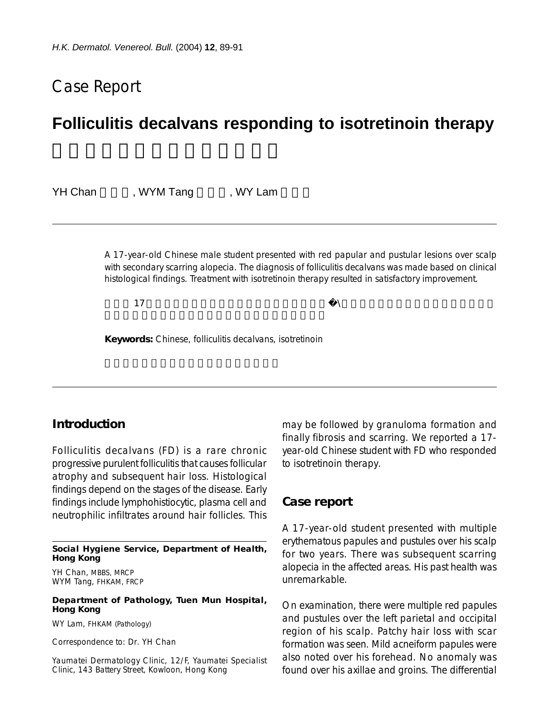# Case Report

# **Folliculitis decalvans responding to isotretinoin therapy**

YH Chan , WYM Tang , WY Lam

A 17-year-old Chinese male student presented with red papular and pustular lesions over scalp with secondary scarring alopecia. The diagnosis of folliculitis decalvans was made based on clinical histological findings. Treatment with isotretinoin therapy resulted in satisfactory improvement.

 $\lambda$ 

**Keywords:** Chinese, folliculitis decalvans, isotretinoin

### **Introduction**

Folliculitis decalvans (FD) is a rare chronic progressive purulent folliculitis that causes follicular atrophy and subsequent hair loss. Histological findings depend on the stages of the disease. Early findings include lymphohistiocytic, plasma cell and neutrophilic infiltrates around hair follicles. This

**Social Hygiene Service, Department of Health, Hong Kong**

YH Chan, MBBS, MRCP WYM Tang, FHKAM, FRCP

#### **Department of Pathology, Tuen Mun Hospital, Hong Kong**

WY Lam, FHKAM (Pathology)

Correspondence to: Dr. YH Chan

Yaumatei Dermatology Clinic, 12/F, Yaumatei Specialist Clinic, 143 Battery Street, Kowloon, Hong Kong

may be followed by granuloma formation and finally fibrosis and scarring. We reported a 17 year-old Chinese student with FD who responded to isotretinoin therapy.

### **Case report**

A 17-year-old student presented with multiple erythematous papules and pustules over his scalp for two years. There was subsequent scarring alopecia in the affected areas. His past health was unremarkable.

On examination, there were multiple red papules and pustules over the left parietal and occipital region of his scalp. Patchy hair loss with scar formation was seen. Mild acneiform papules were also noted over his forehead. No anomaly was found over his axillae and groins. The differential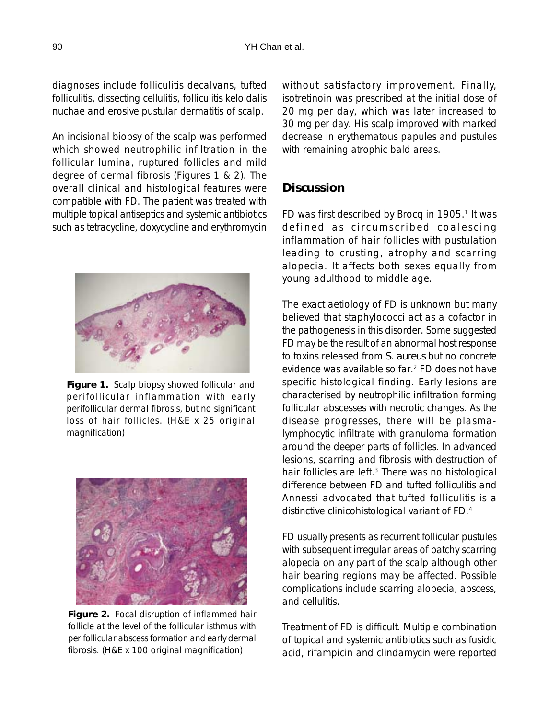diagnoses include folliculitis decalvans, tufted folliculitis, dissecting cellulitis, folliculitis keloidalis nuchae and erosive pustular dermatitis of scalp.

An incisional biopsy of the scalp was performed which showed neutrophilic infiltration in the follicular lumina, ruptured follicles and mild degree of dermal fibrosis (Figures 1 & 2). The overall clinical and histological features were compatible with FD. The patient was treated with multiple topical antiseptics and systemic antibiotics such as tetracycline, doxycycline and erythromycin



**Figure 1.** Scalp biopsy showed follicular and perifollicular inflammation with early perifollicular dermal fibrosis, but no significant loss of hair follicles. (H&E x 25 original magnification)



**Figure 2.** Focal disruption of inflammed hair follicle at the level of the follicular isthmus with perifollicular abscess formation and early dermal fibrosis. (H&E x 100 original magnification)

without satisfactory improvement. Finally, isotretinoin was prescribed at the initial dose of 20 mg per day, which was later increased to 30 mg per day. His scalp improved with marked decrease in erythematous papules and pustules with remaining atrophic bald areas.

## **Discussion**

FD was first described by Brocq in 1905.<sup>1</sup> It was defined as circumscribed coalescing inflammation of hair follicles with pustulation leading to crusting, atrophy and scarring alopecia. It affects both sexes equally from young adulthood to middle age.

The exact aetiology of FD is unknown but many believed that staphylococci act as a cofactor in the pathogenesis in this disorder. Some suggested FD may be the result of an abnormal host response to toxins released from *S. aureus* but no concrete evidence was available so far.2 FD does not have specific histological finding. Early lesions are characterised by neutrophilic infiltration forming follicular abscesses with necrotic changes. As the disease progresses, there will be plasmalymphocytic infiltrate with granuloma formation around the deeper parts of follicles. In advanced lesions, scarring and fibrosis with destruction of hair follicles are left.<sup>3</sup> There was no histological difference between FD and tufted folliculitis and Annessi advocated that tufted folliculitis is a distinctive clinicohistological variant of FD.4

FD usually presents as recurrent follicular pustules with subsequent irregular areas of patchy scarring alopecia on any part of the scalp although other hair bearing regions may be affected. Possible complications include scarring alopecia, abscess, and cellulitis.

Treatment of FD is difficult. Multiple combination of topical and systemic antibiotics such as fusidic acid, rifampicin and clindamycin were reported